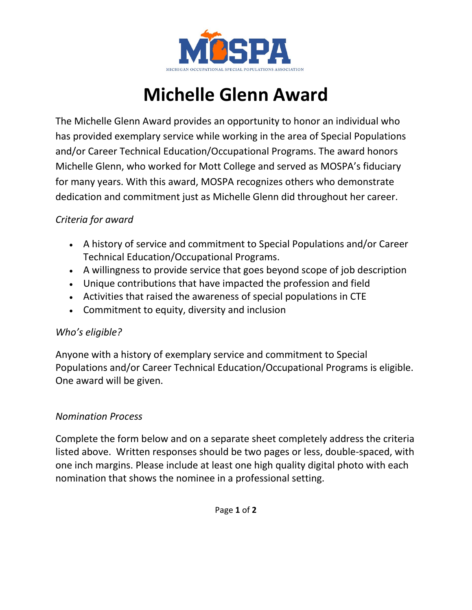

# **Michelle Glenn Award**

The Michelle Glenn Award provides an opportunity to honor an individual who has provided exemplary service while working in the area of Special Populations and/or Career Technical Education/Occupational Programs. The award honors Michelle Glenn, who worked for Mott College and served as MOSPA's fiduciary for many years. With this award, MOSPA recognizes others who demonstrate dedication and commitment just as Michelle Glenn did throughout her career.

# *Criteria for award*

- A history of service and commitment to Special Populations and/or Career Technical Education/Occupational Programs.
- A willingness to provide service that goes beyond scope of job description
- Unique contributions that have impacted the profession and field
- Activities that raised the awareness of special populations in CTE
- Commitment to equity, diversity and inclusion

### *Who's eligible?*

Anyone with a history of exemplary service and commitment to Special Populations and/or Career Technical Education/Occupational Programs is eligible. One award will be given.

### *Nomination Process*

Complete the form below and on a separate sheet completely address the criteria listed above. Written responses should be two pages or less, double-spaced, with one inch margins. Please include at least one high quality digital photo with each nomination that shows the nominee in a professional setting.